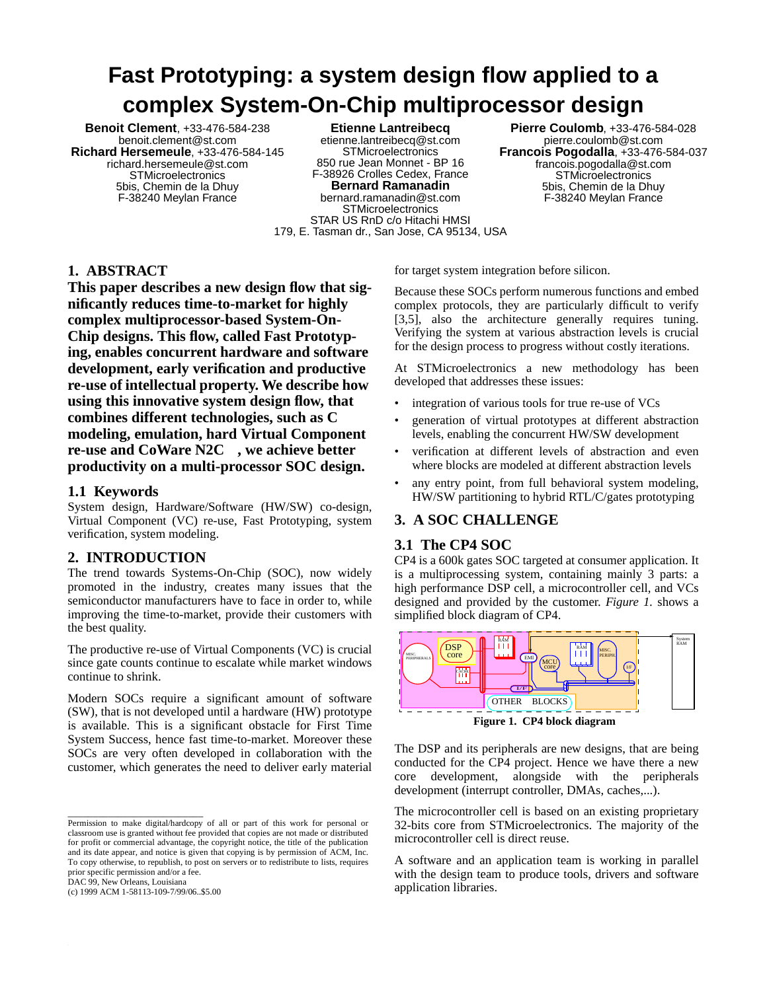# **Fast Prototyping: a system design flow applied to a complex System-On-Chip multiprocessor design**

**Benoit Clement**, +33-476-584-238 benoit.clement@st.com **Richard Hersemeule**, +33-476-584-145 richard.hersemeule@st.com **STMicroelectronics** 5bis, Chemin de la Dhuy F-38240 Meylan France

**Etienne Lantreibecq** etienne.lantreibecq@st.com **STMicroelectronics** 850 rue Jean Monnet - BP 16 F-38926 Crolles Cedex, France **Bernard Ramanadin** bernard.ramanadin@st.com **STMicroelectronics** STAR US RnD c/o Hitachi HMSI 179, E. Tasman dr., San Jose, CA 95134, USA

**Pierre Coulomb**, +33-476-584-028 pierre.coulomb@st.com **Francois Pogodalla**, +33-476-584-037 francois.pogodalla@st.com **STMicroelectronics** 5bis, Chemin de la Dhuy F-38240 Meylan France

## **1. ABSTRACT**

**This paper describes a new design flow that significantly reduces time-to-market for highly complex multiprocessor-based System-On-Chip designs. This flow, called Fast Prototyping, enables concurrent hardware and software development, early verification and productive re-use of intellectual property. We describe how using this innovative system design flow, that combines different technologies, such as C modeling, emulation, hard Virtual Component re-use and CoWare N2C, we achieve better productivity on a multi-processor SOC design.**

## **1.1 Keywords**

System design, Hardware/Software (HW/SW) co-design, Virtual Component (VC) re-use, Fast Prototyping, system verification, system modeling.

# **2. INTRODUCTION**

The trend towards Systems-On-Chip (SOC), now widely promoted in the industry, creates many issues that the semiconductor manufacturers have to face in order to, while improving the time-to-market, provide their customers with the best quality.

The productive re-use of Virtual Components (VC) is crucial since gate counts continue to escalate while market windows continue to shrink.

Modern SOCs require a significant amount of software (SW), that is not developed until a hardware (HW) prototype is available. This is a significant obstacle for First Time System Success, hence fast time-to-market. Moreover these SOCs are very often developed in collaboration with the customer, which generates the need to deliver early material

DAC 99, New Orleans, Louisiana

\_\_\_\_\_\_\_\_\_\_\_\_\_\_\_\_\_\_\_\_\_\_\_\_\_\_\_

(c) 1999 ACM 1-58113-109-7/99/06..\$5.00

for target system integration before silicon.

Because these SOCs perform numerous functions and embed complex protocols, they are particularly difficult to verify [3,5], also the architecture generally requires tuning. Verifying the system at various abstraction levels is crucial for the design process to progress without costly iterations.

At STMicroelectronics a new methodology has been developed that addresses these issues:

- integration of various tools for true re-use of VCs
- generation of virtual prototypes at different abstraction levels, enabling the concurrent HW/SW development
- verification at different levels of abstraction and even where blocks are modeled at different abstraction levels
- any entry point, from full behavioral system modeling, HW/SW partitioning to hybrid RTL/C/gates prototyping

## **3. A SOC CHALLENGE**

## **3.1 The CP4 SOC**

CP4 is a 600k gates SOC targeted at consumer application. It is a multiprocessing system, containing mainly 3 parts: a high performance DSP cell, a microcontroller cell, and VCs designed and provided by the customer. *Figure 1.* shows a simplified block diagram of CP4.



**Figure 1. CP4 block diagram**

The DSP and its peripherals are new designs, that are being conducted for the CP4 project. Hence we have there a new core development, alongside with the peripherals development (interrupt controller, DMAs, caches,...).

The microcontroller cell is based on an existing proprietary 32-bits core from STMicroelectronics. The majority of the microcontroller cell is direct reuse.

A software and an application team is working in parallel with the design team to produce tools, drivers and software application libraries.

Permission to make digital/hardcopy of all or part of this work for personal or classroom use is granted without fee provided that copies are not made or distributed for profit or commercial advantage, the copyright notice, the title of the publication and its date appear, and notice is given that copying is by permission of ACM, Inc. To copy otherwise, to republish, to post on servers or to redistribute to lists, requires prior specific permission and/or a fee.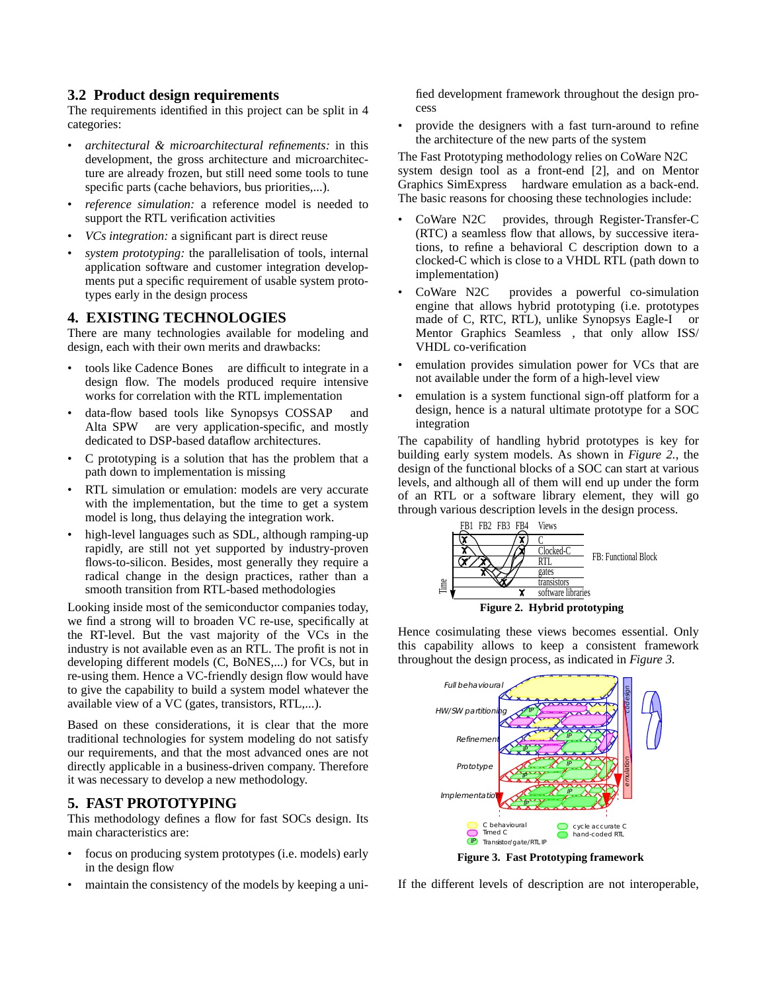## <span id="page-1-0"></span>**3.2 Product design requirements**

The requirements identified in this project can be split in 4 categories:

- *architectural & microarchitectural refinements:* in this development, the gross architecture and microarchitecture are already frozen, but still need some tools to tune specific parts (cache behaviors, bus priorities,...).
- *reference simulation:* a reference model is needed to support the RTL verification activities
- *VCs integration:* a significant part is direct reuse
- *system prototyping:* the parallelisation of tools, internal application software and customer integration developments put a specific requirement of usable system prototypes early in the design process

#### **4. EXISTING TECHNOLOGIES**

There are many technologies available for modeling and design, each with their own merits and drawbacks:

- tools like Cadence Bones<sup>TM</sup> are difficult to integrate in a design flow. The models produced require intensive works for correlation with the RTL implementation
- data-flow based tools like Synopsys COSSAPTM and Alta SPW<sup>TM</sup> are very application-specific, and mostly dedicated to DSP-based dataflow architectures.
- C prototyping is a solution that has the problem that a path down to implementation is missing
- RTL simulation or emulation: models are very accurate with the implementation, but the time to get a system model is long, thus delaying the integration work.
- high-level languages such as SDL, although ramping-up rapidly, are still not yet supported by industry-proven flows-to-silicon. Besides, most generally they require a radical change in the design practices, rather than a smooth transition from RTL-based methodologies

Looking inside most of the semiconductor companies today, we find a strong will to broaden VC re-use, specifically at the RT-level. But the vast majority of the VCs in the industry is not available even as an RTL. The profit is not in developing different models (C, BoNES,...) for VCs, but in re-using them. Hence a VC-friendly design flow would have to give the capability to build a system model whatever the available view of a VC (gates, transistors, RTL,...).

Based on these considerations, it is clear that the more traditional technologies for system modeling do not satisfy our requirements, and that the most advanced ones are not directly applicable in a business-driven company. Therefore it was necessary to develop a new methodology.

#### **5. FAST PROTOTYPING**

This methodology defines a flow for fast SOCs design. Its main characteristics are:

- focus on producing system prototypes (i.e. models) early in the design flow
- maintain the consistency of the models by keeping a uni-

fied development framework throughout the design process

• provide the designers with a fast turn-around to refine the architecture of the new parts of the system

The Fast Prototyping methodology relies on CoWare N2C system design tool as a front-end [2], and on Mentor Graphics SimExpress™ hardware emulation as a back-end. The basic reasons for choosing these technologies include:

- CoWare N2C<sup>TM</sup> provides, through Register-Transfer-C (RTC) a seamless flow that allows, by successive iterations, to refine a behavioral C description down to a clocked-C which is close to a VHDL RTL (path down to implementation)
- CoWare  $N2C^{TM}$  provides a powerful co-simulation engine that allows hybrid prototyping (i.e. prototypes made of C, RTC, RTL), unlike Synopsys Eagle-I<sup>TM</sup> or Mentor Graphics Seamless<sup>TM</sup>, that only allow ISS/ VHDL co-verification
- emulation provides simulation power for VCs that are not available under the form of a high-level view
- emulation is a system functional sign-off platform for a design, hence is a natural ultimate prototype for a SOC integration

The capability of handling hybrid prototypes is key for building early system models. As shown in *Figure 2.*, the design of the functional blocks of a SOC can start at various levels, and although all of them will end up under the form of an RTL or a software library element, they will go through various description levels in the design process.



Hence cosimulating these views becomes essential. Only this capability allows to keep a consistent framework throughout the design process, as indicated in *Figure 3.*



**Figure 3. Fast Prototyping framework**

If the different levels of description are not interoperable,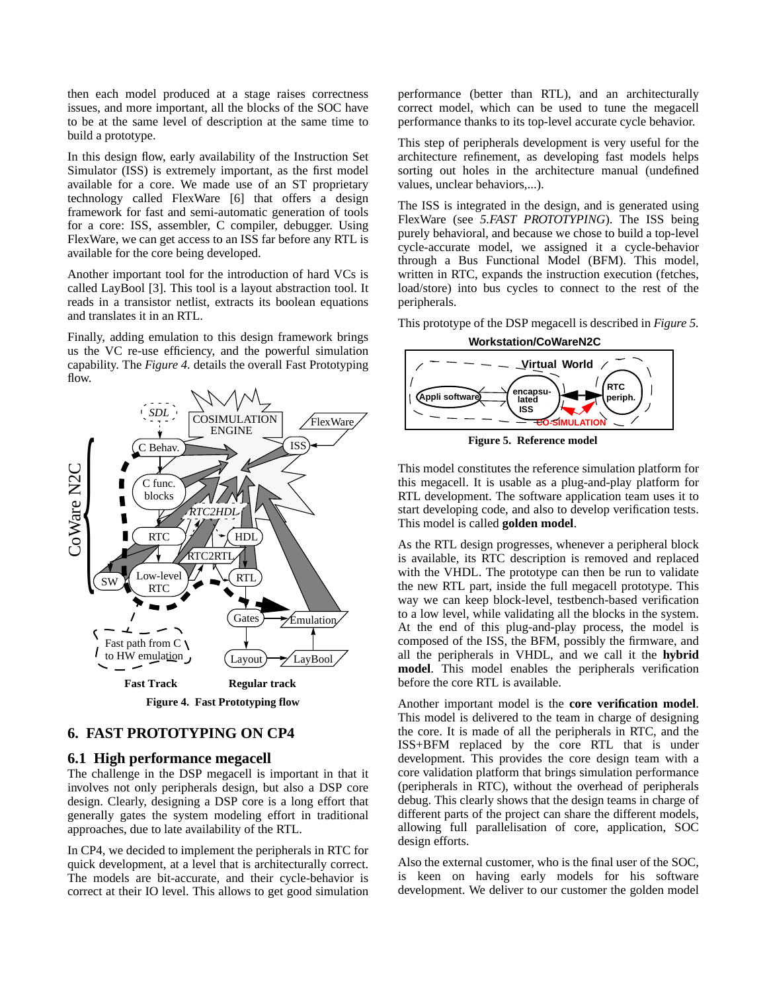then each model produced at a stage raises correctness issues, and more important, all the blocks of the SOC have to be at the same level of description at the same time to build a prototype.

In this design flow, early availability of the Instruction Set Simulator (ISS) is extremely important, as the first model available for a core. We made use of an ST proprietary technology called FlexWare [6] that offers a design framework for fast and semi-automatic generation of tools for a core: ISS, assembler, C compiler, debugger. Using FlexWare, we can get access to an ISS far before any RTL is available for the core being developed.

Another important tool for the introduction of hard VCs is called LayBool [3]. This tool is a layout abstraction tool. It reads in a transistor netlist, extracts its boolean equations and translates it in an RTL.

Finally, adding emulation to this design framework brings us the VC re-use efficiency, and the powerful simulation capability. The *Figure 4.* details the overall Fast Prototyping flow.



## **6. FAST PROTOTYPING ON CP4**

#### **6.1 High performance megacell**

The challenge in the DSP megacell is important in that it involves not only peripherals design, but also a DSP core design. Clearly, designing a DSP core is a long effort that generally gates the system modeling effort in traditional approaches, due to late availability of the RTL.

In CP4, we decided to implement the peripherals in RTC for quick development, at a level that is architecturally correct. The models are bit-accurate, and their cycle-behavior is correct at their IO level. This allows to get good simulation performance (better than RTL), and an architecturally correct model, which can be used to tune the megacell performance thanks to its top-level accurate cycle behavior.

This step of peripherals development is very useful for the architecture refinement, as developing fast models helps sorting out holes in the architecture manual (undefined values, unclear behaviors,...).

The ISS is integrated in the design, and is generated using FlexWare (see *[5.FAST PROTOTYPING](#page-1-0)*). The ISS being purely behavioral, and because we chose to build a top-level cycle-accurate model, we assigned it a cycle-behavior through a Bus Functional Model (BFM). This model, written in RTC, expands the instruction execution (fetches, load/store) into bus cycles to connect to the rest of the peripherals.

This prototype of the DSP megacell is described in *Figure 5.*



**Figure 5. Reference model**

This model constitutes the reference simulation platform for this megacell. It is usable as a plug-and-play platform for RTL development. The software application team uses it to start developing code, and also to develop verification tests. This model is called **golden model**.

As the RTL design progresses, whenever a peripheral block is available, its RTC description is removed and replaced with the VHDL. The prototype can then be run to validate the new RTL part, inside the full megacell prototype. This way we can keep block-level, testbench-based verification to a low level, while validating all the blocks in the system. At the end of this plug-and-play process, the model is composed of the ISS, the BFM, possibly the firmware, and all the peripherals in VHDL, and we call it the **hybrid model**. This model enables the peripherals verification before the core RTL is available.

Another important model is the **core verification model**. This model is delivered to the team in charge of designing the core. It is made of all the peripherals in RTC, and the ISS+BFM replaced by the core RTL that is under development. This provides the core design team with a core validation platform that brings simulation performance (peripherals in RTC), without the overhead of peripherals debug. This clearly shows that the design teams in charge of different parts of the project can share the different models, allowing full parallelisation of core, application, SOC design efforts.

Also the external customer, who is the final user of the SOC, is keen on having early models for his software development. We deliver to our customer the golden model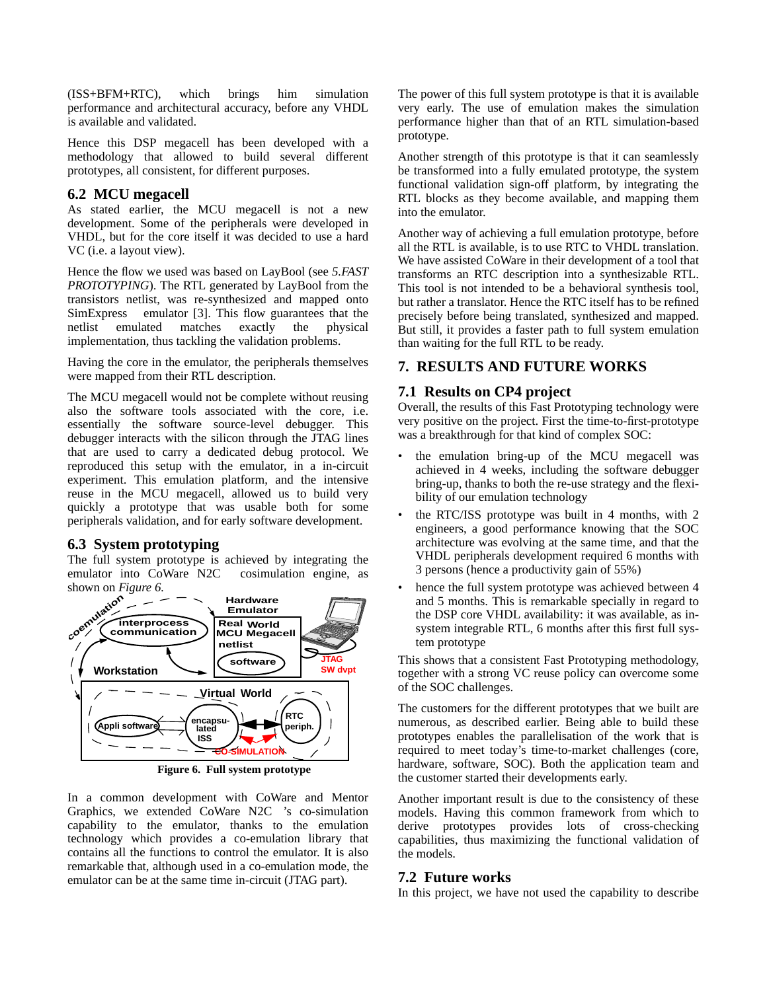(ISS+BFM+RTC), which brings him simulation performance and architectural accuracy, before any VHDL is available and validated.

Hence this DSP megacell has been developed with a methodology that allowed to build several different prototypes, all consistent, for different purposes.

## **6.2 MCU megacell**

As stated earlier, the MCU megacell is not a new development. Some of the peripherals were developed in VHDL, but for the core itself it was decided to use a hard VC (i.e. a layout view).

Hence the flow we used was based on LayBool (see *[5.FAST](#page-1-0) [PROTOTYPING](#page-1-0)*). The RTL generated by LayBool from the transistors netlist, was re-synthesized and mapped onto  $SimExpress^{TM}$  emulator [3]. This flow guarantees that the netlist emulated matches exactly the physical implementation, thus tackling the validation problems.

Having the core in the emulator, the peripherals themselves were mapped from their RTL description.

The MCU megacell would not be complete without reusing also the software tools associated with the core, i.e. essentially the software source-level debugger. This debugger interacts with the silicon through the JTAG lines that are used to carry a dedicated debug protocol. We reproduced this setup with the emulator, in a in-circuit experiment. This emulation platform, and the intensive reuse in the MCU megacell, allowed us to build very quickly a prototype that was usable both for some peripherals validation, and for early software development.

## **6.3 System prototyping**

The full system prototype is achieved by integrating the emulator into  $CoW$ are N2 $C<sup>TM</sup>$  cosimulation engine, as shown on *Figure 6.*



**Figure 6. Full system prototype**

In a common development with CoWare and Mentor Graphics, we extended CoWare N2C<sup>TM</sup>'s co-simulation capability to the emulator, thanks to the emulation technology which provides a co-emulation library that contains all the functions to control the emulator. It is also remarkable that, although used in a co-emulation mode, the emulator can be at the same time in-circuit (JTAG part).

The power of this full system prototype is that it is available very early. The use of emulation makes the simulation performance higher than that of an RTL simulation-based prototype.

Another strength of this prototype is that it can seamlessly be transformed into a fully emulated prototype, the system functional validation sign-off platform, by integrating the RTL blocks as they become available, and mapping them into the emulator.

Another way of achieving a full emulation prototype, before all the RTL is available, is to use RTC to VHDL translation. We have assisted CoWare in their development of a tool that transforms an RTC description into a synthesizable RTL. This tool is not intended to be a behavioral synthesis tool, but rather a translator. Hence the RTC itself has to be refined precisely before being translated, synthesized and mapped. But still, it provides a faster path to full system emulation than waiting for the full RTL to be ready.

# **7. RESULTS AND FUTURE WORKS**

## **7.1 Results on CP4 project**

Overall, the results of this Fast Prototyping technology were very positive on the project. First the time-to-first-prototype was a breakthrough for that kind of complex SOC:

- the emulation bring-up of the MCU megacell was achieved in 4 weeks, including the software debugger bring-up, thanks to both the re-use strategy and the flexibility of our emulation technology
- the RTC/ISS prototype was built in 4 months, with 2 engineers, a good performance knowing that the SOC architecture was evolving at the same time, and that the VHDL peripherals development required 6 months with 3 persons (hence a productivity gain of 55%)
- hence the full system prototype was achieved between 4 and 5 months. This is remarkable specially in regard to the DSP core VHDL availability: it was available, as insystem integrable RTL, 6 months after this first full system prototype

This shows that a consistent Fast Prototyping methodology, together with a strong VC reuse policy can overcome some of the SOC challenges.

The customers for the different prototypes that we built are numerous, as described earlier. Being able to build these prototypes enables the parallelisation of the work that is required to meet today's time-to-market challenges (core, hardware, software, SOC). Both the application team and the customer started their developments early.

Another important result is due to the consistency of these models. Having this common framework from which to derive prototypes provides lots of cross-checking capabilities, thus maximizing the functional validation of the models.

## **7.2 Future works**

In this project, we have not used the capability to describe